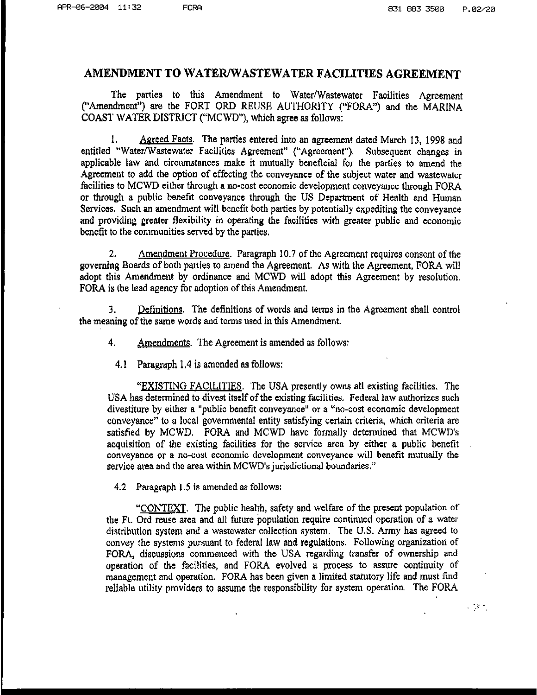. ".i: •.

# **AMENDMENT TO WATERIW ASTEWATER FACILITIES AGREEMENT**

The parties to this Amendment to Water/Wastewater Facilities Agreement ("Amendment") are the FORT ORO REUSE AUTHORITY ("FORA") and the MARINA COAST WATER DISTRICT ("MCWD"), which agree as follows:

I. Agreed Facts. The parties entered into an agreement dated March 13, 1998 and entitled "Water/Wastewater Facilities Agreement" ("Agreement"). Subsequent changes in applicable law and circumstances make it mutually beneficial for the parties to amend the Agreement to add the option of effecting the conveyance of the subject water and wastewater facilities to MCWD either through a no-cost economic development conveyance through FORA or through a public benefit conveyance through the US Department of Health and Human Services. Such an amendment will benefit both parties by potentially expediting the conveyance and providing greater flexibility in operating the facilities with greater public and economic benefit to the communities served by the parties.

2. Amendment Procedure. Paragraph 10.7 of the Agreement requires consent of the governing Boards of both parties to amend the Agreement. As with the Agreement, FORA will adopt this Amendment by ordinance and MCWD will adopt this Agreement by resolution. FORA is the lead agency for adoption of this Amendment.

3. Definitions. The definitions of words and terms in the Agreement shall control the meaning of the same words and terms used in this Amendment.

4. Amendments. The Agreement is amended as follows:

4.1 Paragraph 1.4 is amended as follows:

"EXISTING FACILITIES. The USA presently owns all existing facilities. The USA has determined to divest itself of the existing facilities. Federal law authorizes such divestiture by either a "public benefit conveyance" or a "no-cost economic development conveyance" to *a* local governmental entity satisfying certain criteria, which criteria are satisfied by MCWD. FORA and MCWD have formally dctennined that MCWD's acquisition of the existing facilities for the service area by either a public benefit conveyance or a no-cost economic development conveyance will benefit mutually the service area and the area within MCWD's jurisdictional boundaries."

4.2 Paragraph 1.5 is amended as follows:

"CONTEXT. The public health, safety and welfare of the present population of the Ft. Ord reuse area and all future population require continued operation of a water distribution system and a wastewater collection system. The U.S. Army has agreed to convey the systems pursuant to federal law and regulations. Following organization of FORA, discussions commenced with the USA regarding transfer of ownership and operation of the facilities, and FORA evolved a process to assure continuity of management and operation. FORA has been given a limited statutory life and must find reliable utility providers to assume the responsibility for system operation. The FORA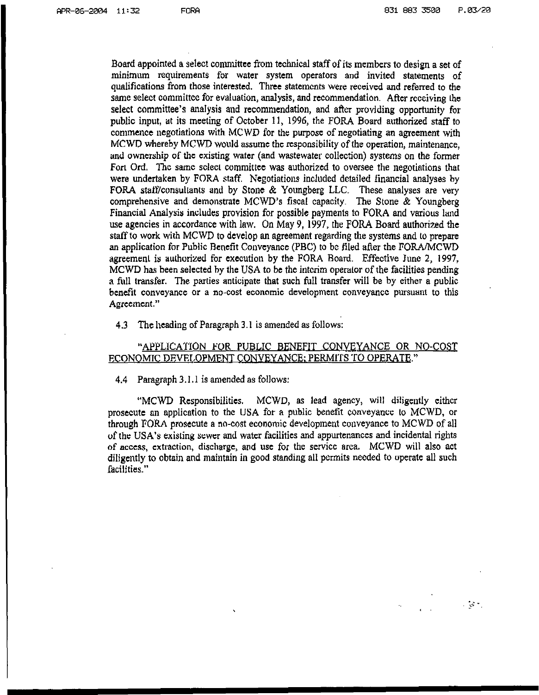$\sim 10^{-10}$ 

Board appointed a select committee from technical staff of its members to design a set of minimmn requirements for water system operators and invited statements of qualifications from those interested. Three statements were received and referred to the same select committee for evaluation, analysis, and recommendation. After receiving the select committee's analysis and recommendation, and after providing opportunity for public input, at its meeting of October II, 1996, the FORA Board authorized staff to commence negotiations with MCWD for the purpose of negotiating an agreement with MCWO whereby MCWO would assume the responsibility of the operation, maintenance, and ownership of the existing water (and wastewater collection) systems on the former Fort Ord. The same select committee was authorized to oversee the negotiations that were undertaken by FORA staff. Negotiations included detailed financial analyses by FORA statf/consultants and by Stone & Youngberg LLC. These analyses are very comprehensive and demonstrate MCWD's fiscal capacity. The Stone  $&$  Youngberg Financial Analysis includes provision for possible payments to FORA and various land use agencies in accordance with law. On May 9, 1997, the FORA Board authorized the staff to work with MCWD to develop an agreement regarding the systems and lo prepare an application for Public Benefit Conveyance (PBC) to be tiled after the PORAIMCWD agreemenl is aulhorized tor execution by the FORA Board\_ Effective June 2, 1997, MCWO has been selected by the USA to be the interim operator of the facilities pending a full transfer. The parties anticipate that such full transfer will be by either a public benefit conveyance or a no-cost economic development conveyance pursuant to this Agreement."

4.3 The heading of Paragraph 3.1 is amended as follows:

#### "APPLICATION FOR PUBLIC BENEFIT CONVEYANCE OR NO-COST ECONOMIC DEVELOPMENT CONVEYANCE; PERMITS TO OPERATE."

4.4 Paragraph 3. 1.1 is amended as follows:

"MCWD Responsibilities. MCWD, as lead agency, will diligently either prosecute an application to the USA for a public benetit conveyance to MCWD, or through FORA prosecute a no-cost economic development conveyance to MCWD of all of the: USA's existing sewer and water facilities and appurtenances and incidental rights of access, extraction, discharge, a~d use for the service area. MCWD will also act diligently to obtain and maintain in good standing all permits needed to operate all such facilities."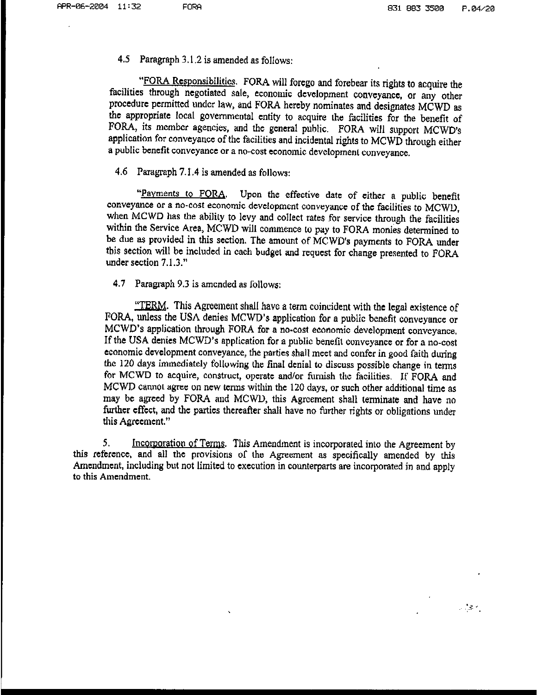## 4.5 Paragraph 3 .1.2 is amended as follows:

"FORA Responsibilities. FORA will forego and forebear its rights to acquire the facilities through negotiated sale, economic development conveyance, or any other procedure permitted under law, and FORA hereby nominates and designates MCWD as the appropriate local governmental entity to acquire the facilities for the benefit of FORA, its member agencies, and the general public. FORA will support MCWD's application for conveyance of the facilities and incidental rights to MCWD through either a public benefit conveyance or a no-cost economic development conveyance.

### 4.6 Paragraph  $7.1.4$  is amended as follows:

"Payments to FORA. Upon the effective date of either a public benefit conveyance or a no-cost economic development conveyance of the facilities to MCWD, when MCWD has the ability to levy and collect rates for service through the facilities within the Service Area, MCWD will commence to pay to FORA monies determined to be due as provided in this section. The amount of MCWD's payments to FORA under this section will be included in each budget and request for change presented to FORA under section 7.1.3."

#### 4.7 Paragraph 9.3 is amended as lollows:

"TERM. This Agreement shall have a term coincident with the legal existence of FORA, unless the USA denies MCWD's application for a public benefit conveyance or MCWD's application lhrough FORA for a no-cost economic development conveyance. If the USA denies MCWD's application for a public benelh conveyance or for a no-cost economic development conveyance, the parties shall meet and confer in good faith during the 120 days immediately following lhe final denial to discuss possible change in tenns for MCWD to acquire, construct, operate and/or furnish the facilities. If FORA and MCWD cannot agree on new terms within the 120 days, or such other additional time as may be agreed by FORA and MCWD, this Agreement shall terminate and have no further effect, and the parties thereafter shall have no further rights or obligations under this Agreement."

5. **Incorporation of Terms.** This Amendment is incorporated into the Agreement by this reference, and all the provisions of the Agreement as specifically amended by this Amendment, including but not limited to execution in counterparts are incorporated in and apply to this Amendment.

 $\sim 3.8$